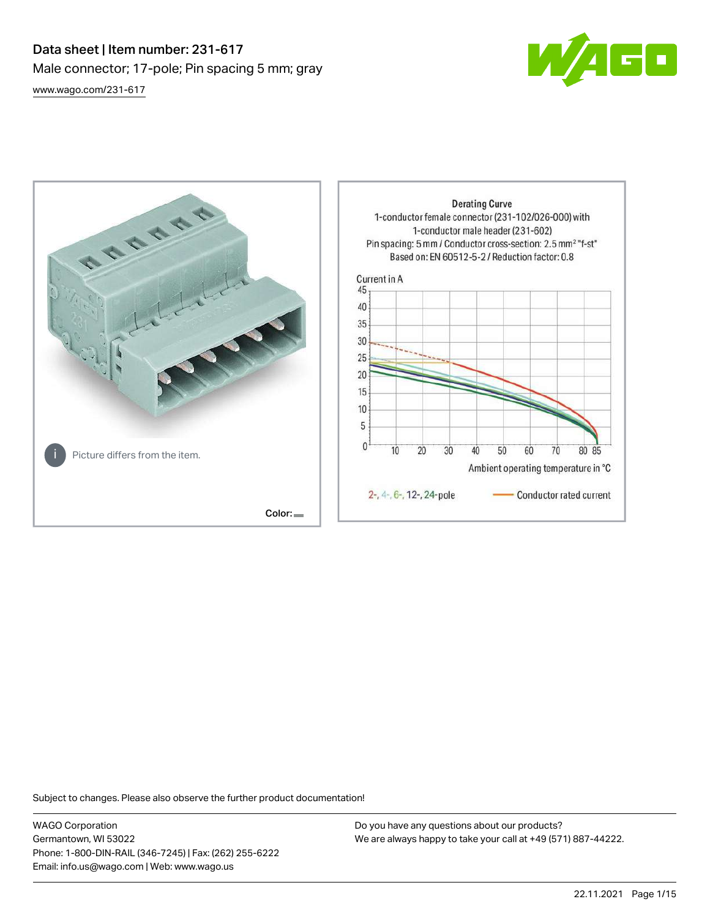# Data sheet | Item number: 231-617 Male connector; 17-pole; Pin spacing 5 mm; gray [www.wago.com/231-617](http://www.wago.com/231-617)





Subject to changes. Please also observe the further product documentation!

WAGO Corporation Germantown, WI 53022 Phone: 1-800-DIN-RAIL (346-7245) | Fax: (262) 255-6222 Email: info.us@wago.com | Web: www.wago.us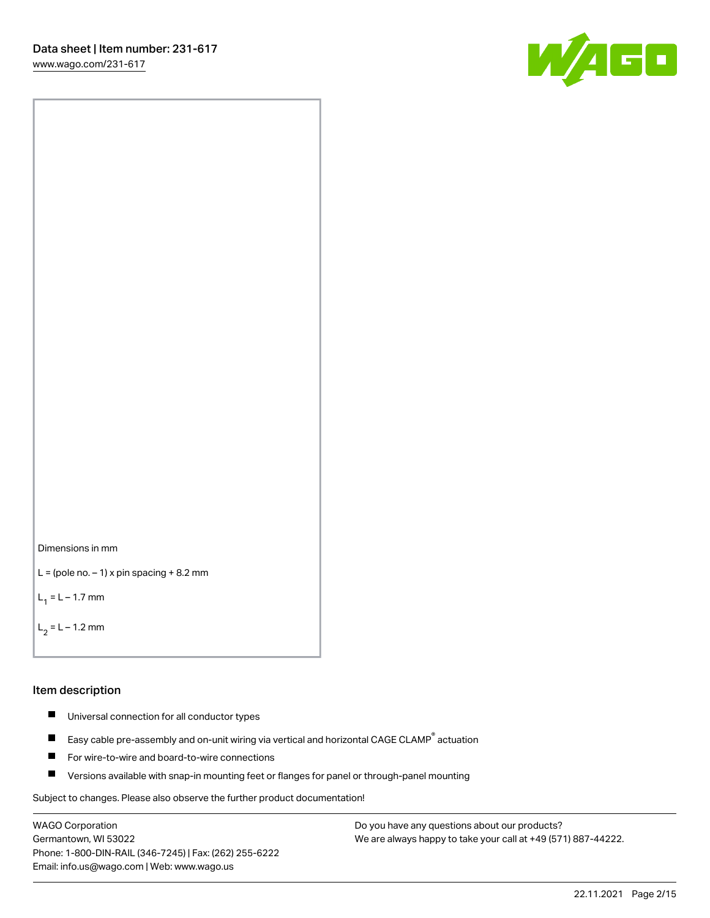[www.wago.com/231-617](http://www.wago.com/231-617)





```
L = (pole no. -1) x pin spacing +8.2 mm
```
 $L_1 = L - 1.7$  mm

```
L_2 = L - 1.2 mm
```
#### Item description

- $\blacksquare$ Universal connection for all conductor types
- Easy cable pre-assembly and on-unit wiring via vertical and horizontal CAGE CLAMP<sup>®</sup> actuation  $\blacksquare$
- П For wire-to-wire and board-to-wire connections
- $\blacksquare$ Versions available with snap-in mounting feet or flanges for panel or through-panel mounting

Subject to changes. Please also observe the further product documentation!

WAGO Corporation Germantown, WI 53022 Phone: 1-800-DIN-RAIL (346-7245) | Fax: (262) 255-6222 Email: info.us@wago.com | Web: www.wago.us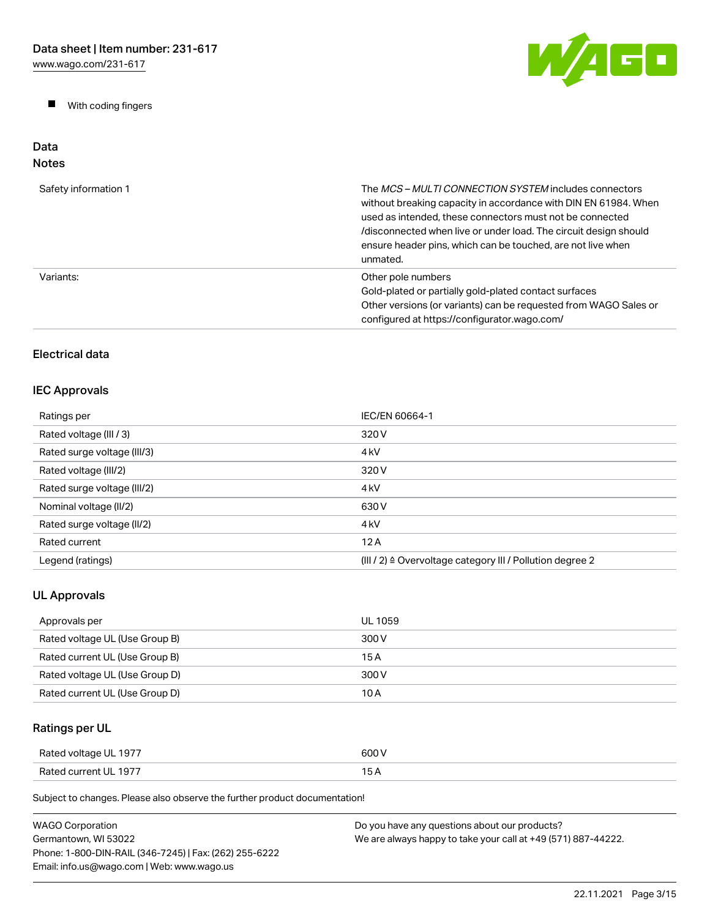$\blacksquare$ With coding fingers



#### Data Notes

| Safety information 1 | The <i>MCS – MULTI CONNECTION SYSTEM</i> includes connectors<br>without breaking capacity in accordance with DIN EN 61984. When<br>used as intended, these connectors must not be connected<br>/disconnected when live or under load. The circuit design should<br>ensure header pins, which can be touched, are not live when<br>unmated. |
|----------------------|--------------------------------------------------------------------------------------------------------------------------------------------------------------------------------------------------------------------------------------------------------------------------------------------------------------------------------------------|
| Variants:            | Other pole numbers<br>Gold-plated or partially gold-plated contact surfaces<br>Other versions (or variants) can be requested from WAGO Sales or<br>configured at https://configurator.wago.com/                                                                                                                                            |

# Electrical data

# IEC Approvals

| Ratings per                 | IEC/EN 60664-1                                                       |
|-----------------------------|----------------------------------------------------------------------|
| Rated voltage (III / 3)     | 320 V                                                                |
| Rated surge voltage (III/3) | 4 <sub>kV</sub>                                                      |
| Rated voltage (III/2)       | 320 V                                                                |
| Rated surge voltage (III/2) | 4 <sub>k</sub> V                                                     |
| Nominal voltage (II/2)      | 630 V                                                                |
| Rated surge voltage (II/2)  | 4 <sub>k</sub> V                                                     |
| Rated current               | 12A                                                                  |
| Legend (ratings)            | (III / 2) $\triangleq$ Overvoltage category III / Pollution degree 2 |

# UL Approvals

| Approvals per                  | UL 1059 |
|--------------------------------|---------|
| Rated voltage UL (Use Group B) | 300 V   |
| Rated current UL (Use Group B) | 15 A    |
| Rated voltage UL (Use Group D) | 300 V   |
| Rated current UL (Use Group D) | 10 A    |

# Ratings per UL

| Rated voltage UL 1977 | 600 V |
|-----------------------|-------|
| Rated current UL 1977 | 15A   |

| WAGO Corporation                                       | Do you have any questions about our products?                 |
|--------------------------------------------------------|---------------------------------------------------------------|
| Germantown, WI 53022                                   | We are always happy to take your call at +49 (571) 887-44222. |
| Phone: 1-800-DIN-RAIL (346-7245)   Fax: (262) 255-6222 |                                                               |
| Email: info.us@wago.com   Web: www.wago.us             |                                                               |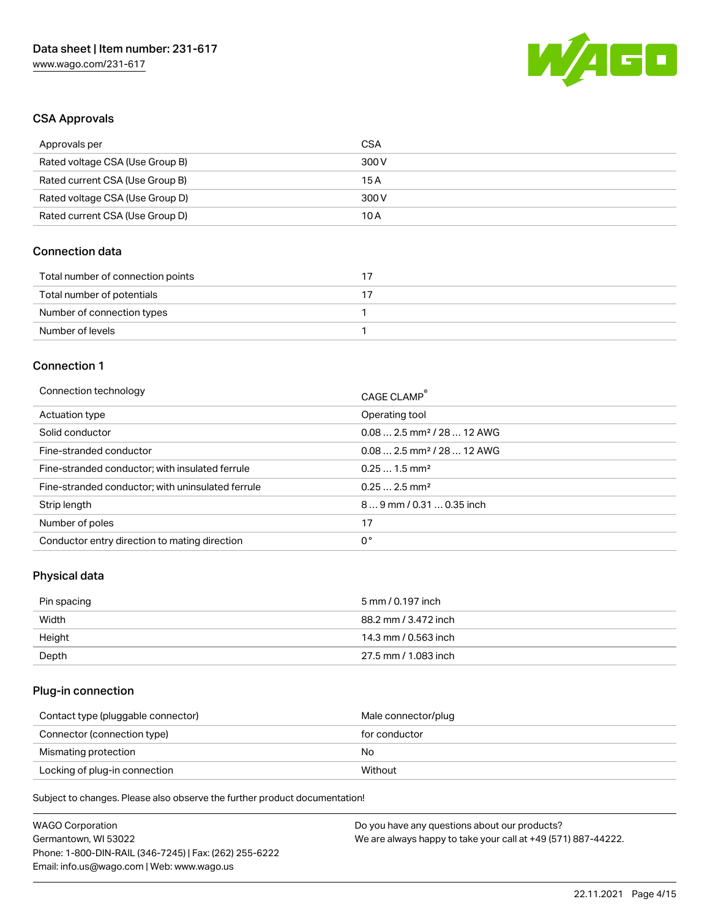

## CSA Approvals

| Approvals per                   | CSA   |
|---------------------------------|-------|
| Rated voltage CSA (Use Group B) | 300 V |
| Rated current CSA (Use Group B) | 15 A  |
| Rated voltage CSA (Use Group D) | 300 V |
| Rated current CSA (Use Group D) | 10 A  |

## Connection data

| Total number of connection points |  |
|-----------------------------------|--|
| Total number of potentials        |  |
| Number of connection types        |  |
| Number of levels                  |  |

#### Connection 1

| Connection technology                             | CAGE CLAMP®                            |
|---------------------------------------------------|----------------------------------------|
| Actuation type                                    | Operating tool                         |
| Solid conductor                                   | $0.082.5$ mm <sup>2</sup> / 28  12 AWG |
| Fine-stranded conductor                           | $0.082.5$ mm <sup>2</sup> / 28  12 AWG |
| Fine-stranded conductor; with insulated ferrule   | $0.251.5$ mm <sup>2</sup>              |
| Fine-stranded conductor; with uninsulated ferrule | $0.252.5$ mm <sup>2</sup>              |
| Strip length                                      | $89$ mm / 0.31  0.35 inch              |
| Number of poles                                   | 17                                     |
| Conductor entry direction to mating direction     | 0°                                     |

# Physical data

| Pin spacing | 5 mm / 0.197 inch    |
|-------------|----------------------|
| Width       | 88.2 mm / 3.472 inch |
| Height      | 14.3 mm / 0.563 inch |
| Depth       | 27.5 mm / 1.083 inch |

# Plug-in connection

| Contact type (pluggable connector) | Male connector/plug |
|------------------------------------|---------------------|
| Connector (connection type)        | for conductor       |
| Mismating protection               | No                  |
| Locking of plug-in connection      | Without             |

| <b>WAGO Corporation</b>                                | Do you have any questions about our products?                 |
|--------------------------------------------------------|---------------------------------------------------------------|
| Germantown, WI 53022                                   | We are always happy to take your call at +49 (571) 887-44222. |
| Phone: 1-800-DIN-RAIL (346-7245)   Fax: (262) 255-6222 |                                                               |
| Email: info.us@wago.com   Web: www.wago.us             |                                                               |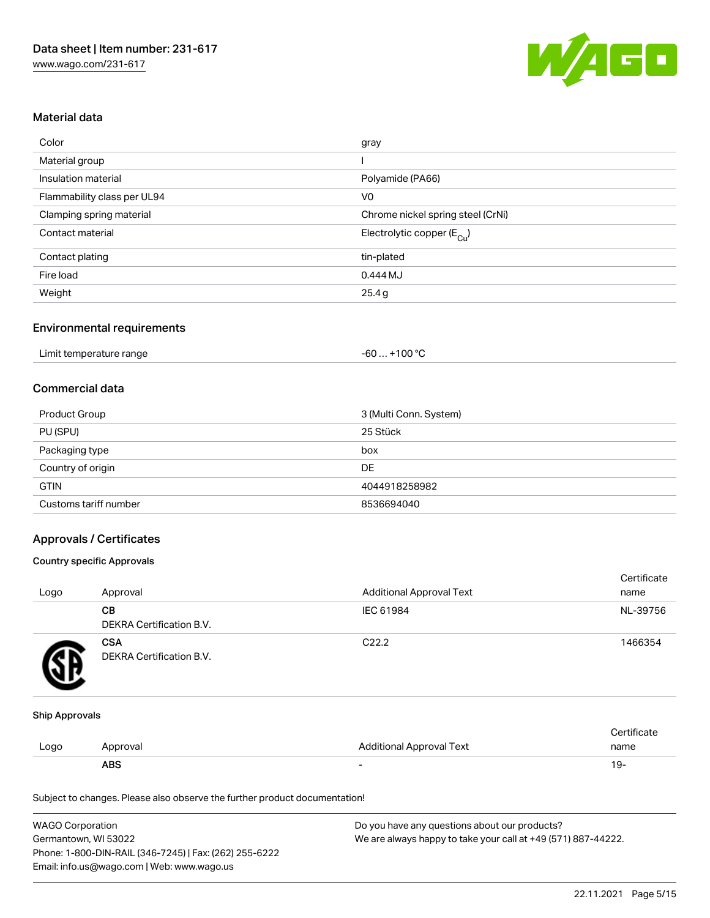

## Material data

| Color                       | gray                                  |
|-----------------------------|---------------------------------------|
| Material group              |                                       |
| Insulation material         | Polyamide (PA66)                      |
| Flammability class per UL94 | V <sub>0</sub>                        |
| Clamping spring material    | Chrome nickel spring steel (CrNi)     |
| Contact material            | Electrolytic copper $(E_{\text{Cl}})$ |
| Contact plating             | tin-plated                            |
| Fire load                   | 0.444 MJ                              |
| Weight                      | 25.4g                                 |

## Environmental requirements

| Limit temperature range<br>. | $+100 °C$<br>-60 |  |
|------------------------------|------------------|--|
|------------------------------|------------------|--|

### Commercial data

| <b>Product Group</b>  | 3 (Multi Conn. System) |
|-----------------------|------------------------|
| PU (SPU)              | 25 Stück               |
| Packaging type        | box                    |
| Country of origin     | <b>DE</b>              |
| <b>GTIN</b>           | 4044918258982          |
| Customs tariff number | 8536694040             |

## Approvals / Certificates

#### Country specific Approvals

| Logo | Approval                               | <b>Additional Approval Text</b> | Certificate<br>name |
|------|----------------------------------------|---------------------------------|---------------------|
|      | CВ<br>DEKRA Certification B.V.         | IEC 61984                       | NL-39756            |
|      | <b>CSA</b><br>DEKRA Certification B.V. | C <sub>22.2</sub>               | 1466354             |

#### Ship Approvals

|      | <b>ABS</b> | $\overline{\phantom{0}}$        | 19-         |
|------|------------|---------------------------------|-------------|
| Logo | Approval   | <b>Additional Approval Text</b> | name        |
|      |            |                                 | ∩∘rtificate |

| <b>WAGO Corporation</b>                                | Do you have any questions about our products?                 |
|--------------------------------------------------------|---------------------------------------------------------------|
| Germantown, WI 53022                                   | We are always happy to take your call at +49 (571) 887-44222. |
| Phone: 1-800-DIN-RAIL (346-7245)   Fax: (262) 255-6222 |                                                               |
| Email: info.us@wago.com   Web: www.wago.us             |                                                               |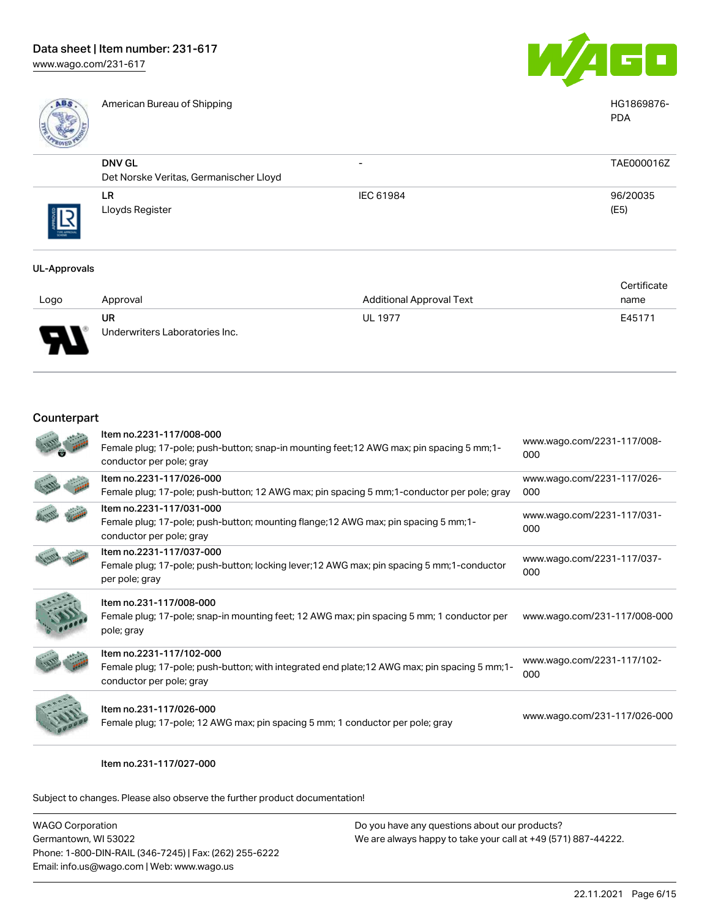

American Bureau of Shipping **HG1869876-** American Bureau of Shipping **HG1869876-**



PDA

| 19         |                                        |                          |            |
|------------|----------------------------------------|--------------------------|------------|
|            | <b>DNV GL</b>                          | $\overline{\phantom{0}}$ | TAE000016Z |
|            | Det Norske Veritas, Germanischer Lloyd |                          |            |
|            | LR                                     | IEC 61984                | 96/20035   |
| THE APPROV | Lloyds Register                        |                          | (E5)       |

#### UL-Approvals

|         |                                |                                 | Certificate |
|---------|--------------------------------|---------------------------------|-------------|
| Logo    | Approval                       | <b>Additional Approval Text</b> | name        |
|         | <b>UR</b>                      | <b>UL 1977</b>                  | E45171      |
| J<br>┱┶ | Underwriters Laboratories Inc. |                                 |             |

## Counterpart

| Item no.2231-117/008-000<br>Female plug; 17-pole; push-button; snap-in mounting feet; 12 AWG max; pin spacing 5 mm; 1-<br>conductor per pole; gray     | www.wago.com/2231-117/008-<br>000 |
|--------------------------------------------------------------------------------------------------------------------------------------------------------|-----------------------------------|
| Item no.2231-117/026-000<br>Female plug; 17-pole; push-button; 12 AWG max; pin spacing 5 mm; 1-conductor per pole; gray                                | www.wago.com/2231-117/026-<br>000 |
| Item no.2231-117/031-000<br>Female plug; 17-pole; push-button; mounting flange; 12 AWG max; pin spacing 5 mm; 1-<br>conductor per pole; gray           | www.wago.com/2231-117/031-<br>000 |
| Item no.2231-117/037-000<br>Female plug; 17-pole; push-button; locking lever; 12 AWG max; pin spacing 5 mm; 1-conductor<br>per pole; gray              | www.wago.com/2231-117/037-<br>000 |
| Item no.231-117/008-000<br>Female plug; 17-pole; snap-in mounting feet; 12 AWG max; pin spacing 5 mm; 1 conductor per<br>pole; gray                    | www.wago.com/231-117/008-000      |
| Item no.2231-117/102-000<br>Female plug; 17-pole; push-button; with integrated end plate; 12 AWG max; pin spacing 5 mm; 1-<br>conductor per pole; gray | www.wago.com/2231-117/102-<br>000 |
| Item no.231-117/026-000<br>Female plug; 17-pole; 12 AWG max; pin spacing 5 mm; 1 conductor per pole; gray                                              | www.wago.com/231-117/026-000      |

Item no.231-117/027-000

| WAGO Corporation                                       | Do you have any questions about our products?                 |
|--------------------------------------------------------|---------------------------------------------------------------|
| Germantown, WI 53022                                   | We are always happy to take your call at +49 (571) 887-44222. |
| Phone: 1-800-DIN-RAIL (346-7245)   Fax: (262) 255-6222 |                                                               |
| Email: info.us@wago.com   Web: www.wago.us             |                                                               |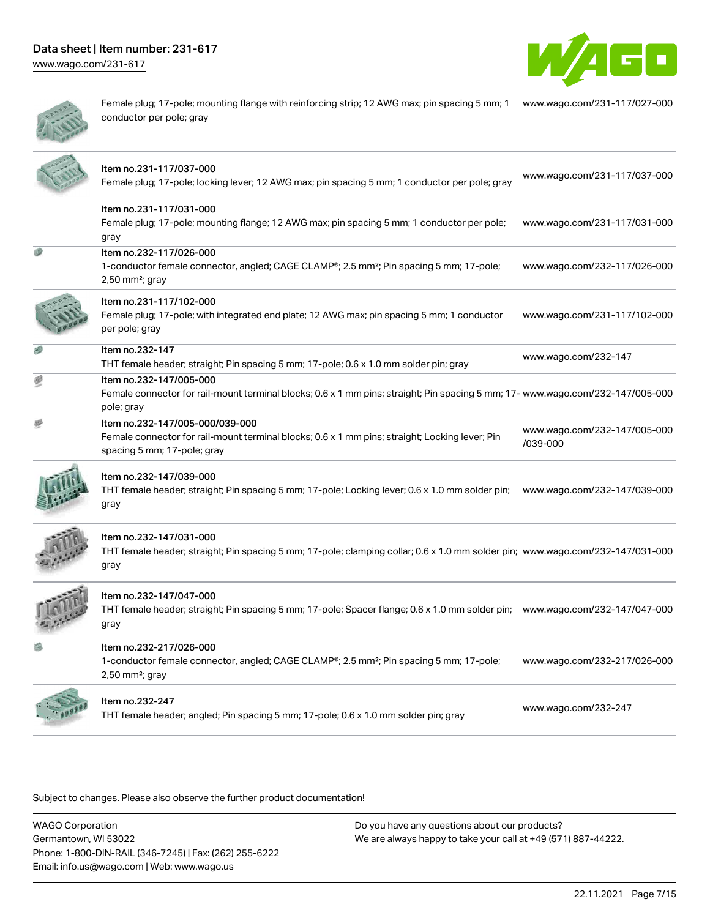[www.wago.com/231-617](http://www.wago.com/231-617)





Female plug; 17-pole; mounting flange with reinforcing strip; 12 AWG max; pin spacing 5 mm; 1 [www.wago.com/231-117/027-000](https://www.wago.com/231-117/027-000) conductor per pole; gray

| Item no.231-117/037-000<br>Female plug; 17-pole; locking lever; 12 AWG max; pin spacing 5 mm; 1 conductor per pole; gray                                                | www.wago.com/231-117/037-000             |
|-------------------------------------------------------------------------------------------------------------------------------------------------------------------------|------------------------------------------|
| Item no.231-117/031-000<br>Female plug; 17-pole; mounting flange; 12 AWG max; pin spacing 5 mm; 1 conductor per pole;<br>gray                                           | www.wago.com/231-117/031-000             |
| Item no.232-117/026-000<br>1-conductor female connector, angled; CAGE CLAMP®; 2.5 mm <sup>2</sup> ; Pin spacing 5 mm; 17-pole;<br>$2,50$ mm <sup>2</sup> ; gray         | www.wago.com/232-117/026-000             |
| Item no.231-117/102-000<br>Female plug; 17-pole; with integrated end plate; 12 AWG max; pin spacing 5 mm; 1 conductor<br>per pole; gray                                 | www.wago.com/231-117/102-000             |
| Item no.232-147<br>THT female header; straight; Pin spacing 5 mm; 17-pole; 0.6 x 1.0 mm solder pin; gray                                                                | www.wago.com/232-147                     |
| Item no.232-147/005-000<br>Female connector for rail-mount terminal blocks; 0.6 x 1 mm pins; straight; Pin spacing 5 mm; 17- www.wago.com/232-147/005-000<br>pole; gray |                                          |
| Item no.232-147/005-000/039-000<br>Female connector for rail-mount terminal blocks; 0.6 x 1 mm pins; straight; Locking lever; Pin<br>spacing 5 mm; 17-pole; gray        | www.wago.com/232-147/005-000<br>/039-000 |
| Item no.232-147/039-000<br>THT female header; straight; Pin spacing 5 mm; 17-pole; Locking lever; 0.6 x 1.0 mm solder pin;<br>gray                                      | www.wago.com/232-147/039-000             |
| Item no.232-147/031-000<br>THT female header; straight; Pin spacing 5 mm; 17-pole; clamping collar; 0.6 x 1.0 mm solder pin; www.wago.com/232-147/031-000<br>gray       |                                          |
| Item no.232-147/047-000<br>THT female header; straight; Pin spacing 5 mm; 17-pole; Spacer flange; 0.6 x 1.0 mm solder pin; www.wago.com/232-147/047-000<br>gray         |                                          |
| Item no.232-217/026-000<br>1-conductor female connector, angled; CAGE CLAMP®; 2.5 mm <sup>2</sup> ; Pin spacing 5 mm; 17-pole;<br>$2,50$ mm <sup>2</sup> ; gray         | www.wago.com/232-217/026-000             |
| Item no.232-247<br>THT female header; angled; Pin spacing 5 mm; 17-pole; 0.6 x 1.0 mm solder pin; gray                                                                  | www.wago.com/232-247                     |

Subject to changes. Please also observe the further product documentation!

WAGO Corporation Germantown, WI 53022 Phone: 1-800-DIN-RAIL (346-7245) | Fax: (262) 255-6222 Email: info.us@wago.com | Web: www.wago.us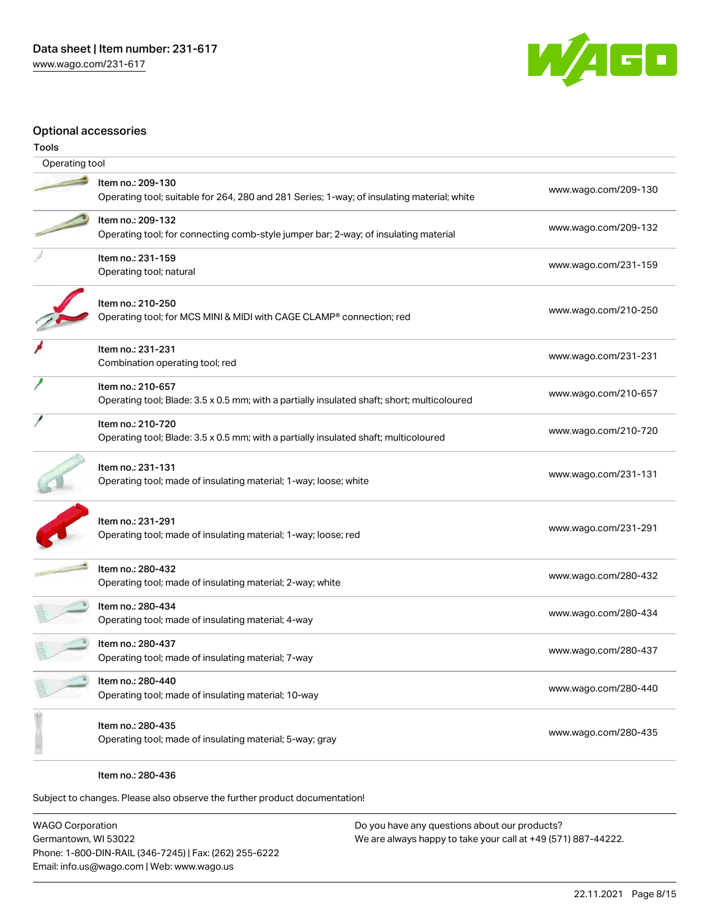

## Optional accessories

| Tools          |                                                                                                                  |                      |
|----------------|------------------------------------------------------------------------------------------------------------------|----------------------|
| Operating tool |                                                                                                                  |                      |
|                | Item no.: 209-130<br>Operating tool; suitable for 264, 280 and 281 Series; 1-way; of insulating material; white  | www.wago.com/209-130 |
|                | Item no.: 209-132<br>Operating tool; for connecting comb-style jumper bar; 2-way; of insulating material         | www.wago.com/209-132 |
|                | Item no.: 231-159<br>Operating tool; natural                                                                     | www.wago.com/231-159 |
|                | Item no.: 210-250<br>Operating tool; for MCS MINI & MIDI with CAGE CLAMP® connection; red                        | www.wago.com/210-250 |
|                | Item no.: 231-231<br>Combination operating tool; red                                                             | www.wago.com/231-231 |
|                | Item no.: 210-657<br>Operating tool; Blade: 3.5 x 0.5 mm; with a partially insulated shaft; short; multicoloured | www.wago.com/210-657 |
|                | Item no.: 210-720<br>Operating tool; Blade: 3.5 x 0.5 mm; with a partially insulated shaft; multicoloured        | www.wago.com/210-720 |
|                | Item no.: 231-131<br>Operating tool; made of insulating material; 1-way; loose; white                            | www.wago.com/231-131 |
|                | Item no.: 231-291<br>Operating tool; made of insulating material; 1-way; loose; red                              | www.wago.com/231-291 |
|                | Item no.: 280-432<br>Operating tool; made of insulating material; 2-way; white                                   | www.wago.com/280-432 |
|                | ltem no.: 280-434<br>Operating tool; made of insulating material; 4-way                                          | www.wago.com/280-434 |
|                | Item no.: 280-437<br>Operating tool; made of insulating material; 7-way                                          | www.wago.com/280-437 |
|                | Item no.: 280-440<br>Operating tool; made of insulating material; 10-way                                         | www.wago.com/280-440 |
|                | Item no.: 280-435<br>Operating tool; made of insulating material; 5-way; gray                                    | www.wago.com/280-435 |

Item no.: 280-436

Subject to changes. Please also observe the further product documentation!

WAGO Corporation Germantown, WI 53022 Phone: 1-800-DIN-RAIL (346-7245) | Fax: (262) 255-6222 Email: info.us@wago.com | Web: www.wago.us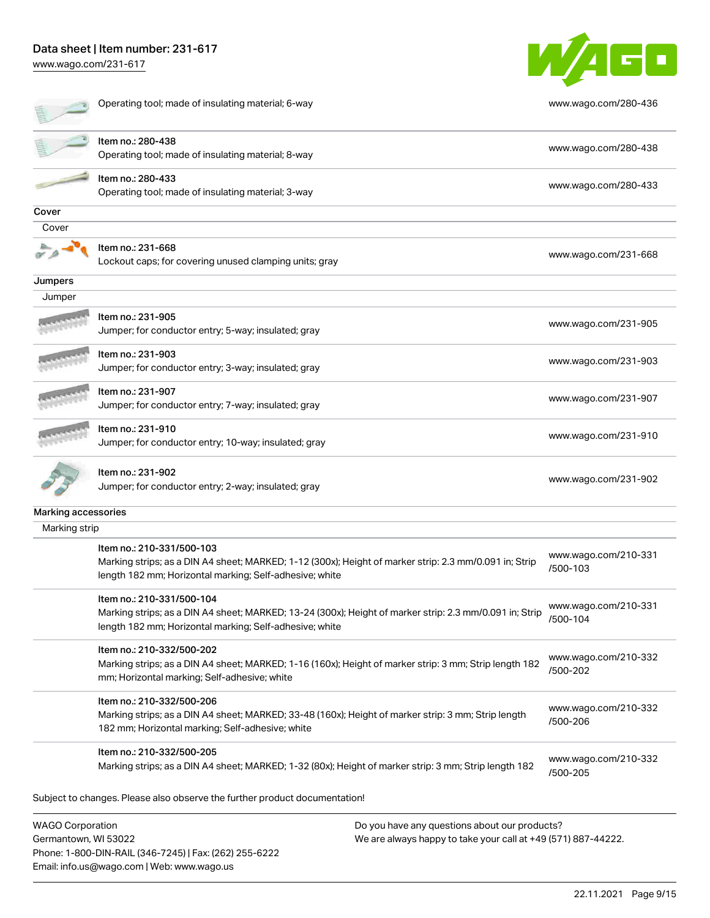Phone: 1-800-DIN-RAIL (346-7245) | Fax: (262) 255-6222

Email: info.us@wago.com | Web: www.wago.us

[www.wago.com/231-617](http://www.wago.com/231-617)

|                                                 | Operating tool; made of insulating material; 6-way                                                                                                                                              |                                                                                                                | www.wago.com/280-436             |
|-------------------------------------------------|-------------------------------------------------------------------------------------------------------------------------------------------------------------------------------------------------|----------------------------------------------------------------------------------------------------------------|----------------------------------|
|                                                 | Item no.: 280-438<br>Operating tool; made of insulating material; 8-way                                                                                                                         |                                                                                                                | www.wago.com/280-438             |
|                                                 | Item no.: 280-433<br>Operating tool; made of insulating material; 3-way                                                                                                                         |                                                                                                                | www.wago.com/280-433             |
| Cover                                           |                                                                                                                                                                                                 |                                                                                                                |                                  |
| Cover                                           |                                                                                                                                                                                                 |                                                                                                                |                                  |
|                                                 | Item no.: 231-668<br>Lockout caps; for covering unused clamping units; gray                                                                                                                     |                                                                                                                | www.wago.com/231-668             |
| Jumpers                                         |                                                                                                                                                                                                 |                                                                                                                |                                  |
| Jumper                                          |                                                                                                                                                                                                 |                                                                                                                |                                  |
|                                                 | Item no.: 231-905<br>Jumper; for conductor entry; 5-way; insulated; gray                                                                                                                        |                                                                                                                | www.wago.com/231-905             |
|                                                 | Item no.: 231-903<br>Jumper; for conductor entry; 3-way; insulated; gray                                                                                                                        |                                                                                                                | www.wago.com/231-903             |
|                                                 | Item no.: 231-907<br>Jumper; for conductor entry; 7-way; insulated; gray                                                                                                                        |                                                                                                                | www.wago.com/231-907             |
|                                                 | ltem no.: 231-910<br>Jumper; for conductor entry; 10-way; insulated; gray                                                                                                                       |                                                                                                                | www.wago.com/231-910             |
|                                                 | Item no.: 231-902<br>Jumper; for conductor entry; 2-way; insulated; gray                                                                                                                        |                                                                                                                | www.wago.com/231-902             |
| Marking accessories                             |                                                                                                                                                                                                 |                                                                                                                |                                  |
| Marking strip                                   |                                                                                                                                                                                                 |                                                                                                                |                                  |
|                                                 | Item no.: 210-331/500-103<br>Marking strips; as a DIN A4 sheet; MARKED; 1-12 (300x); Height of marker strip: 2.3 mm/0.091 in; Strip<br>length 182 mm; Horizontal marking; Self-adhesive; white  |                                                                                                                | www.wago.com/210-331<br>/500-103 |
|                                                 | Item no.: 210-331/500-104<br>Marking strips; as a DIN A4 sheet; MARKED; 13-24 (300x); Height of marker strip: 2.3 mm/0.091 in; Strip<br>length 182 mm; Horizontal marking; Self-adhesive; white |                                                                                                                | www.wago.com/210-331<br>/500-104 |
|                                                 | Item no.: 210-332/500-202<br>Marking strips; as a DIN A4 sheet; MARKED; 1-16 (160x); Height of marker strip: 3 mm; Strip length 182<br>mm; Horizontal marking; Self-adhesive; white             |                                                                                                                | www.wago.com/210-332<br>/500-202 |
|                                                 | Item no.: 210-332/500-206<br>Marking strips; as a DIN A4 sheet; MARKED; 33-48 (160x); Height of marker strip: 3 mm; Strip length<br>182 mm; Horizontal marking; Self-adhesive; white            |                                                                                                                | www.wago.com/210-332<br>/500-206 |
|                                                 | Item no.: 210-332/500-205<br>Marking strips; as a DIN A4 sheet; MARKED; 1-32 (80x); Height of marker strip: 3 mm; Strip length 182                                                              |                                                                                                                | www.wago.com/210-332<br>/500-205 |
|                                                 | Subject to changes. Please also observe the further product documentation!                                                                                                                      |                                                                                                                |                                  |
| <b>WAGO Corporation</b><br>Germantown, WI 53022 |                                                                                                                                                                                                 | Do you have any questions about our products?<br>We are always happy to take your call at +49 (571) 887-44222. |                                  |

W/4GO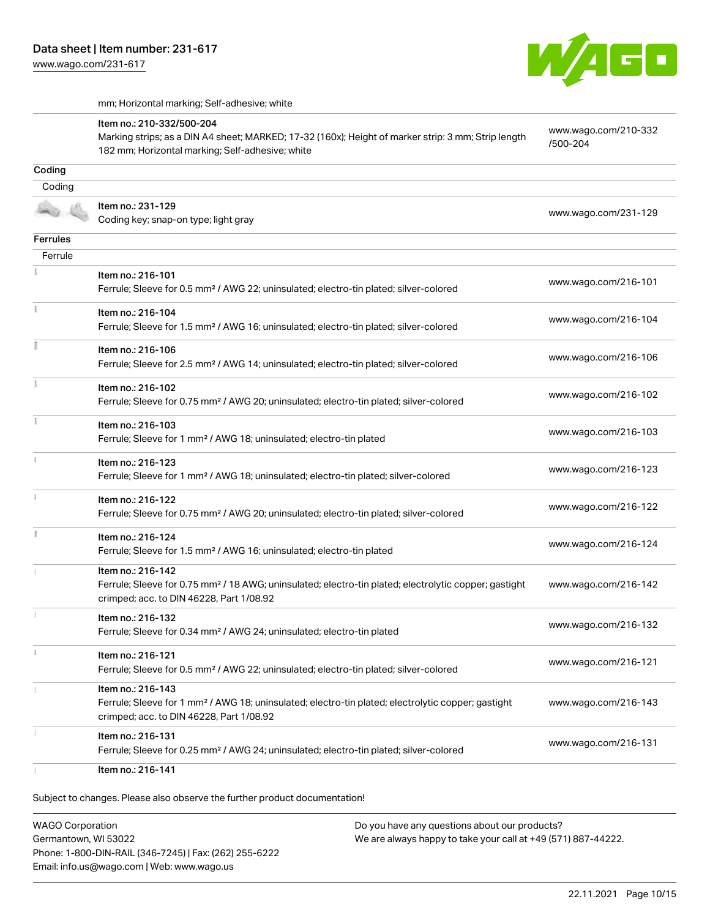W/AGO

mm; Horizontal marking; Self-adhesive; white

|                 | Item no.: 210-332/500-204<br>Marking strips; as a DIN A4 sheet; MARKED; 17-32 (160x); Height of marker strip: 3 mm; Strip length<br>182 mm; Horizontal marking; Self-adhesive; white | www.wago.com/210-332<br>/500-204 |
|-----------------|--------------------------------------------------------------------------------------------------------------------------------------------------------------------------------------|----------------------------------|
| Coding          |                                                                                                                                                                                      |                                  |
| Coding          |                                                                                                                                                                                      |                                  |
|                 | Item no.: 231-129<br>Coding key; snap-on type; light gray                                                                                                                            | www.wago.com/231-129             |
| <b>Ferrules</b> |                                                                                                                                                                                      |                                  |
| Ferrule         |                                                                                                                                                                                      |                                  |
|                 | Item no.: 216-101<br>Ferrule; Sleeve for 0.5 mm <sup>2</sup> / AWG 22; uninsulated; electro-tin plated; silver-colored                                                               | www.wago.com/216-101             |
|                 | Item no.: 216-104<br>Ferrule; Sleeve for 1.5 mm <sup>2</sup> / AWG 16; uninsulated; electro-tin plated; silver-colored                                                               | www.wago.com/216-104             |
|                 | Item no.: 216-106<br>Ferrule; Sleeve for 2.5 mm <sup>2</sup> / AWG 14; uninsulated; electro-tin plated; silver-colored                                                               | www.wago.com/216-106             |
|                 | Item no.: 216-102<br>Ferrule; Sleeve for 0.75 mm <sup>2</sup> / AWG 20; uninsulated; electro-tin plated; silver-colored                                                              | www.wago.com/216-102             |
|                 | Item no.: 216-103<br>Ferrule; Sleeve for 1 mm <sup>2</sup> / AWG 18; uninsulated; electro-tin plated                                                                                 | www.wago.com/216-103             |
|                 | Item no.: 216-123<br>Ferrule; Sleeve for 1 mm <sup>2</sup> / AWG 18; uninsulated; electro-tin plated; silver-colored                                                                 | www.wago.com/216-123             |
|                 | Item no.: 216-122<br>Ferrule; Sleeve for 0.75 mm <sup>2</sup> / AWG 20; uninsulated; electro-tin plated; silver-colored                                                              | www.wago.com/216-122             |
|                 | Item no.: 216-124<br>Ferrule; Sleeve for 1.5 mm <sup>2</sup> / AWG 16; uninsulated; electro-tin plated                                                                               | www.wago.com/216-124             |
|                 | Item no.: 216-142<br>Ferrule; Sleeve for 0.75 mm <sup>2</sup> / 18 AWG; uninsulated; electro-tin plated; electrolytic copper; gastight<br>crimped; acc. to DIN 46228, Part 1/08.92   | www.wago.com/216-142             |
|                 | Item no.: 216-132<br>Ferrule; Sleeve for 0.34 mm <sup>2</sup> / AWG 24; uninsulated; electro-tin plated                                                                              | www.wago.com/216-132             |
|                 | Item no.: 216-121<br>Ferrule; Sleeve for 0.5 mm <sup>2</sup> / AWG 22; uninsulated; electro-tin plated; silver-colored                                                               | www.wago.com/216-121             |
|                 | Item no.: 216-143<br>Ferrule; Sleeve for 1 mm <sup>2</sup> / AWG 18; uninsulated; electro-tin plated; electrolytic copper; gastight<br>crimped; acc. to DIN 46228, Part 1/08.92      | www.wago.com/216-143             |
|                 | Item no.: 216-131<br>Ferrule; Sleeve for 0.25 mm <sup>2</sup> / AWG 24; uninsulated; electro-tin plated; silver-colored                                                              | www.wago.com/216-131             |
|                 | Item no.: 216-141                                                                                                                                                                    |                                  |

WAGO Corporation Germantown, WI 53022 Phone: 1-800-DIN-RAIL (346-7245) | Fax: (262) 255-6222 Email: info.us@wago.com | Web: www.wago.us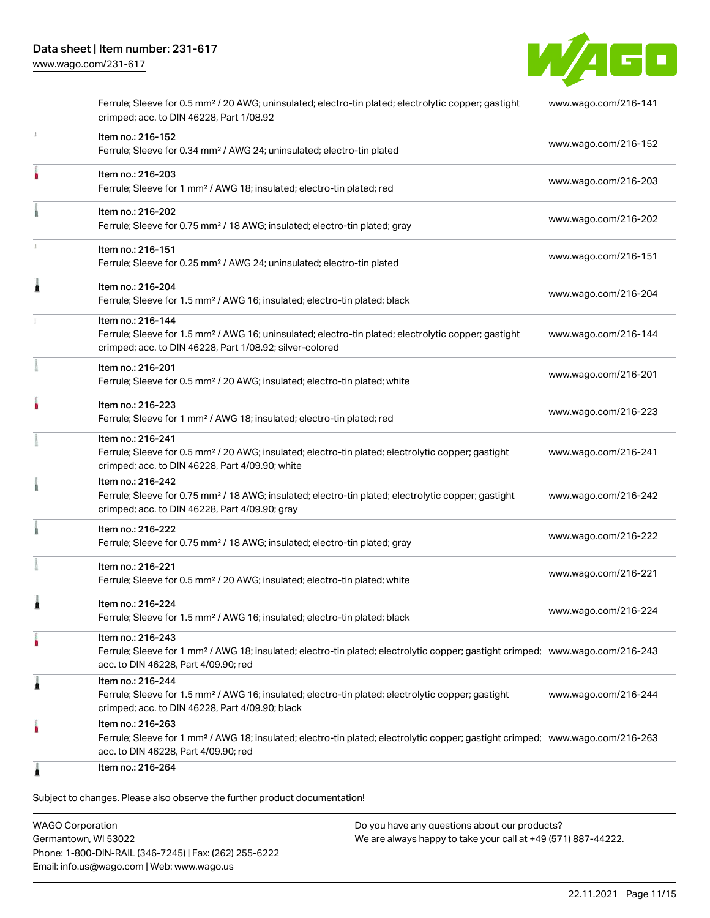

|   | Ferrule; Sleeve for 0.5 mm <sup>2</sup> / 20 AWG; uninsulated; electro-tin plated; electrolytic copper; gastight<br>crimped; acc. to DIN 46228, Part 1/08.92                                            | www.wago.com/216-141 |
|---|---------------------------------------------------------------------------------------------------------------------------------------------------------------------------------------------------------|----------------------|
|   | Item no.: 216-152<br>Ferrule; Sleeve for 0.34 mm <sup>2</sup> / AWG 24; uninsulated; electro-tin plated                                                                                                 | www.wago.com/216-152 |
|   | Item no.: 216-203<br>Ferrule; Sleeve for 1 mm <sup>2</sup> / AWG 18; insulated; electro-tin plated; red                                                                                                 | www.wago.com/216-203 |
|   | Item no.: 216-202<br>Ferrule; Sleeve for 0.75 mm <sup>2</sup> / 18 AWG; insulated; electro-tin plated; gray                                                                                             | www.wago.com/216-202 |
|   | Item no.: 216-151<br>Ferrule; Sleeve for 0.25 mm <sup>2</sup> / AWG 24; uninsulated; electro-tin plated                                                                                                 | www.wago.com/216-151 |
| ٨ | Item no.: 216-204<br>Ferrule; Sleeve for 1.5 mm <sup>2</sup> / AWG 16; insulated; electro-tin plated; black                                                                                             | www.wago.com/216-204 |
|   | Item no.: 216-144<br>Ferrule; Sleeve for 1.5 mm <sup>2</sup> / AWG 16; uninsulated; electro-tin plated; electrolytic copper; gastight<br>crimped; acc. to DIN 46228, Part 1/08.92; silver-colored       | www.wago.com/216-144 |
|   | Item no.: 216-201<br>Ferrule; Sleeve for 0.5 mm <sup>2</sup> / 20 AWG; insulated; electro-tin plated; white                                                                                             | www.wago.com/216-201 |
|   | Item no.: 216-223<br>Ferrule; Sleeve for 1 mm <sup>2</sup> / AWG 18; insulated; electro-tin plated; red                                                                                                 | www.wago.com/216-223 |
|   | Item no.: 216-241<br>Ferrule; Sleeve for 0.5 mm <sup>2</sup> / 20 AWG; insulated; electro-tin plated; electrolytic copper; gastight<br>crimped; acc. to DIN 46228, Part 4/09.90; white                  | www.wago.com/216-241 |
|   | Item no.: 216-242<br>Ferrule; Sleeve for 0.75 mm <sup>2</sup> / 18 AWG; insulated; electro-tin plated; electrolytic copper; gastight<br>crimped; acc. to DIN 46228, Part 4/09.90; gray                  | www.wago.com/216-242 |
|   | Item no.: 216-222<br>Ferrule; Sleeve for 0.75 mm <sup>2</sup> / 18 AWG; insulated; electro-tin plated; gray                                                                                             | www.wago.com/216-222 |
|   | Item no.: 216-221<br>Ferrule; Sleeve for 0.5 mm <sup>2</sup> / 20 AWG; insulated; electro-tin plated; white                                                                                             | www.wago.com/216-221 |
| 1 | Item no.: 216-224<br>Ferrule; Sleeve for 1.5 mm <sup>2</sup> / AWG 16; insulated; electro-tin plated; black                                                                                             | www.wago.com/216-224 |
|   | Item no.: 216-243<br>Ferrule; Sleeve for 1 mm <sup>2</sup> / AWG 18; insulated; electro-tin plated; electrolytic copper; gastight crimped; www.wago.com/216-243<br>acc. to DIN 46228, Part 4/09.90; red |                      |
| Â | Item no.: 216-244<br>Ferrule; Sleeve for 1.5 mm <sup>2</sup> / AWG 16; insulated; electro-tin plated; electrolytic copper; gastight<br>crimped; acc. to DIN 46228, Part 4/09.90; black                  | www.wago.com/216-244 |
|   | Item no.: 216-263<br>Ferrule; Sleeve for 1 mm <sup>2</sup> / AWG 18; insulated; electro-tin plated; electrolytic copper; gastight crimped; www.wago.com/216-263<br>acc. to DIN 46228, Part 4/09.90; red |                      |
|   | Item no.: 216-264                                                                                                                                                                                       |                      |

Subject to changes. Please also observe the further product documentation!

WAGO Corporation Germantown, WI 53022 Phone: 1-800-DIN-RAIL (346-7245) | Fax: (262) 255-6222 Email: info.us@wago.com | Web: www.wago.us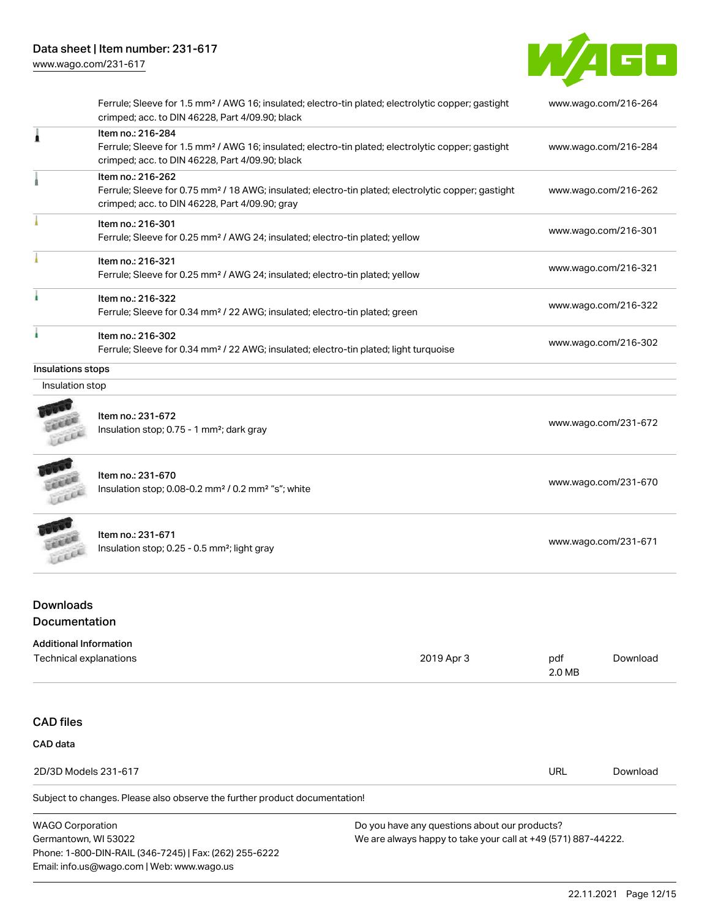

|                                                         | Ferrule; Sleeve for 1.5 mm <sup>2</sup> / AWG 16; insulated; electro-tin plated; electrolytic copper; gastight<br>crimped; acc. to DIN 46228, Part 4/09.90; black                      |                                                                                                                           |                      | www.wago.com/216-264 |
|---------------------------------------------------------|----------------------------------------------------------------------------------------------------------------------------------------------------------------------------------------|---------------------------------------------------------------------------------------------------------------------------|----------------------|----------------------|
| 1                                                       | Item no.: 216-284<br>Ferrule; Sleeve for 1.5 mm <sup>2</sup> / AWG 16; insulated; electro-tin plated; electrolytic copper; gastight<br>crimped; acc. to DIN 46228, Part 4/09.90; black |                                                                                                                           |                      | www.wago.com/216-284 |
|                                                         | Item no.: 216-262<br>Ferrule; Sleeve for 0.75 mm <sup>2</sup> / 18 AWG; insulated; electro-tin plated; electrolytic copper; gastight<br>crimped; acc. to DIN 46228, Part 4/09.90; gray |                                                                                                                           |                      | www.wago.com/216-262 |
|                                                         | Item no.: 216-301<br>Ferrule; Sleeve for 0.25 mm <sup>2</sup> / AWG 24; insulated; electro-tin plated; yellow                                                                          |                                                                                                                           |                      | www.wago.com/216-301 |
|                                                         | Item no.: 216-321<br>Ferrule; Sleeve for 0.25 mm <sup>2</sup> / AWG 24; insulated; electro-tin plated; yellow                                                                          |                                                                                                                           |                      | www.wago.com/216-321 |
|                                                         | Item no.: 216-322<br>Ferrule; Sleeve for 0.34 mm <sup>2</sup> / 22 AWG; insulated; electro-tin plated; green                                                                           |                                                                                                                           |                      | www.wago.com/216-322 |
| ٠                                                       | Item no.: 216-302                                                                                                                                                                      | www.wago.com/216-302<br>Ferrule; Sleeve for 0.34 mm <sup>2</sup> / 22 AWG; insulated; electro-tin plated; light turquoise |                      |                      |
| Insulations stops                                       |                                                                                                                                                                                        |                                                                                                                           |                      |                      |
| Insulation stop                                         |                                                                                                                                                                                        |                                                                                                                           |                      |                      |
| Lecci                                                   | Item no.: 231-672<br>Insulation stop; 0.75 - 1 mm <sup>2</sup> ; dark gray                                                                                                             |                                                                                                                           |                      | www.wago.com/231-672 |
|                                                         | Item no.: 231-670<br>Insulation stop; 0.08-0.2 mm <sup>2</sup> / 0.2 mm <sup>2</sup> "s"; white                                                                                        |                                                                                                                           | www.wago.com/231-670 |                      |
| FEEL                                                    | Item no.: 231-671<br>Insulation stop; 0.25 - 0.5 mm <sup>2</sup> ; light gray                                                                                                          |                                                                                                                           | www.wago.com/231-671 |                      |
| <b>Downloads</b><br>Documentation                       |                                                                                                                                                                                        |                                                                                                                           |                      |                      |
| <b>Additional Information</b><br>Technical explanations |                                                                                                                                                                                        | 2019 Apr 3                                                                                                                | pdf<br>2.0 MB        | Download             |
| <b>CAD files</b>                                        |                                                                                                                                                                                        |                                                                                                                           |                      |                      |

CAD data

Subject to changes. Please also observe the further product documentation! 2D/3D Models 231-617 URL [Download](https://www.wago.com/global/d/3D_URLS_231-617)

WAGO Corporation Germantown, WI 53022 Phone: 1-800-DIN-RAIL (346-7245) | Fax: (262) 255-6222 Email: info.us@wago.com | Web: www.wago.us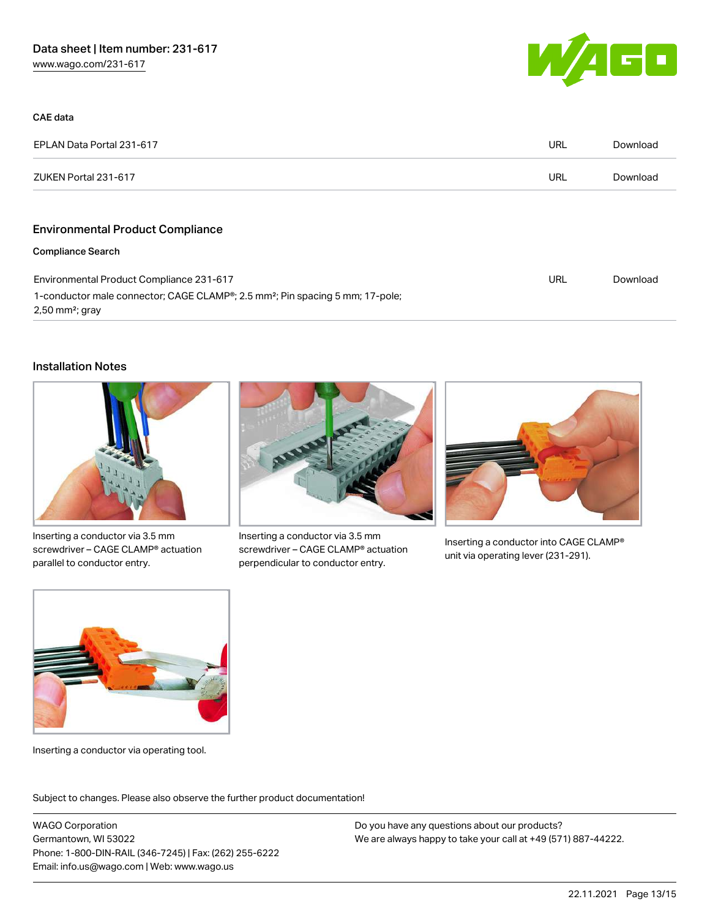

| CAE data                                                                                                                   |     |          |
|----------------------------------------------------------------------------------------------------------------------------|-----|----------|
| EPLAN Data Portal 231-617                                                                                                  | URL | Download |
| ZUKEN Portal 231-617                                                                                                       | URL | Download |
|                                                                                                                            |     |          |
| <b>Environmental Product Compliance</b>                                                                                    |     |          |
| <b>Compliance Search</b>                                                                                                   |     |          |
| Environmental Product Compliance 231-617                                                                                   |     | Download |
| 1-conductor male connector; CAGE CLAMP®; 2.5 mm <sup>2</sup> ; Pin spacing 5 mm; 17-pole;<br>$2,50$ mm <sup>2</sup> ; gray |     |          |

#### Installation Notes



Inserting a conductor via 3.5 mm screwdriver – CAGE CLAMP® actuation parallel to conductor entry.



Inserting a conductor via 3.5 mm screwdriver – CAGE CLAMP® actuation perpendicular to conductor entry.



Inserting a conductor into CAGE CLAMP® unit via operating lever (231-291).



Inserting a conductor via operating tool.

Subject to changes. Please also observe the further product documentation!

WAGO Corporation Germantown, WI 53022 Phone: 1-800-DIN-RAIL (346-7245) | Fax: (262) 255-6222 Email: info.us@wago.com | Web: www.wago.us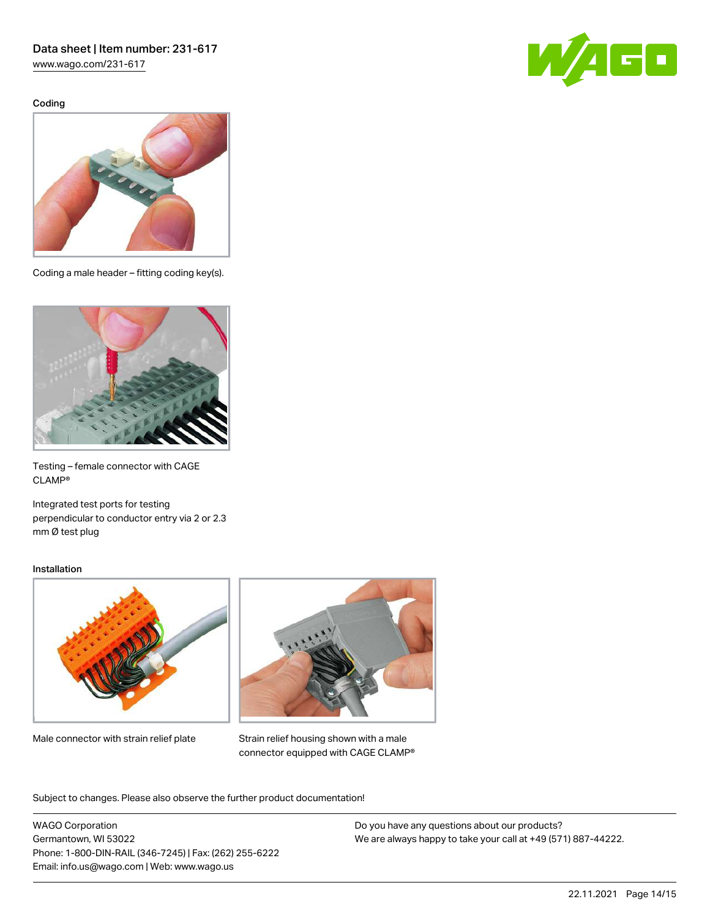[www.wago.com/231-617](http://www.wago.com/231-617)

Coding





Coding a male header – fitting coding key(s).



Testing – female connector with CAGE CLAMP®

Integrated test ports for testing perpendicular to conductor entry via 2 or 2.3 mm Ø test plug

#### Installation



Male connector with strain relief plate



Strain relief housing shown with a male connector equipped with CAGE CLAMP®

Subject to changes. Please also observe the further product documentation!

WAGO Corporation Germantown, WI 53022 Phone: 1-800-DIN-RAIL (346-7245) | Fax: (262) 255-6222 Email: info.us@wago.com | Web: www.wago.us